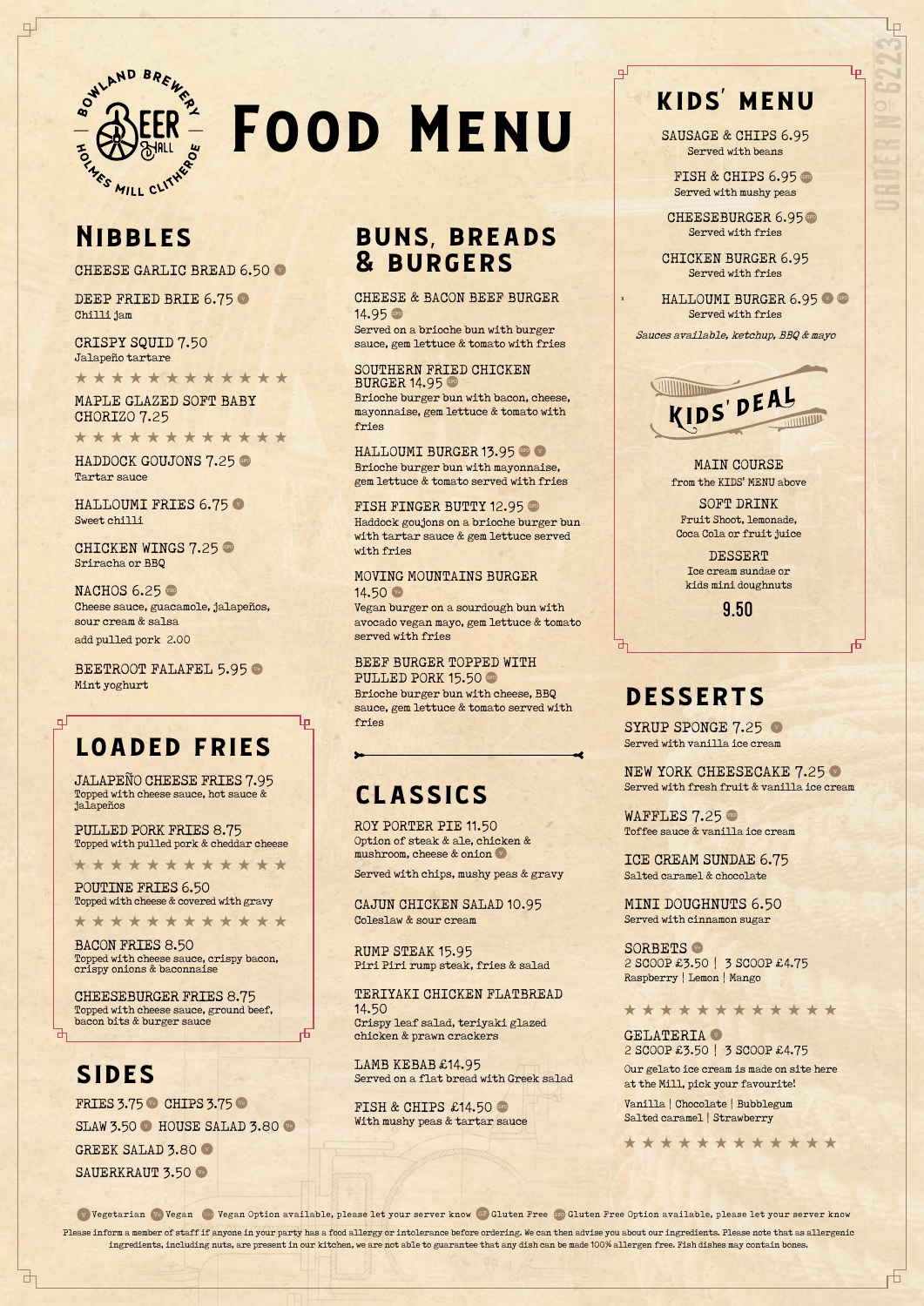# buns, breads & burgers

## CHEESE & BACON BEEF BURGER 14.95 GFO

## SOUTHERN FRIED CHICKEN BURGER 14.95 GFO

Served on a brioche bun with burger sauce, gem lettuce & tomato with fries

Brioche burger bun with bacon, cheese, mayonnaise, gem lettuce & tomato with fries

HALLOUMI BURGER 13.95 GEO V

## MOVING MOUNTAINS BURGER 14.50 Ve

Brioche burger bun with mayonnaise, gem lettuce & tomato served with fries

FISH FINGER BUTTY 12.95

PULLED PORK 15.50 GFO Brioche burger bun with cheese, BBQ sauce, gem lettuce & tomato served with fries

SYRUP SPONGE 7.25 Served with vanilla ice cream

NEW YORK CHEESECAKE 7.25 Served with fresh fruit & vanilla ice cream

Haddock goujons on a brioche burger bun with tartar sauce & gem lettuce served with fries

> WAFFLES 7.25 Toffee sauce & vanilla ice cream

SORBETS Ve 2 SCOOP £3.50 | 3 SCOOP £4.75 Raspberry | Lemon | Mango

GELATERIA V 2 SCOOP £3.50 | 3 SCOOP £4.75

Vegan burger on a sourdough bun with avocado vegan mayo, gem lettuce & tomato served with fries

BEEF BURGER TOPPED WITH

DEEP FRIED BRIE 6.75 Chilli jam

HALLOUMI FRIES 6.75 Sweet chilli

CHICKEN WINGS 7.25 Sriracha or BBQ

NACHOS  $6.25$ Cheese sauce, guacamole, jalapeños, sour cream & salsa

BEETROOT FALAFEL 5.95 Mint yoghurt

> ICE CREAM SUNDAE 6.75 Salted caramel & chocolate

POUTINE FRIES 6.50 Topped with cheese & covered with gravy

\*\*\*\*\*\*\*\*\*\*\*\*

MINI DOUGHNUTS 6.50 Served with cinnamon sugar

Our gelato ice cream is made on site here at the Mill, pick your favourite!

Vanilla | Chocolate | Bubblegum Salted caramel | Strawberry

\*\*\*\*\*\*\*\*\*\*\*\*

₶

Please inform a member of staff if anyone in your party has a food allergy or intolerance before ordering. We can then advise you about our ingredients. Please note that as allergenic ingredients, including nuts, are present in our kitchen, we are not able to guarantee that any dish can be made 100% allergen free. Fish dishes may contain bones. Vegetarian Ve Vegan Vegan Option available, please let your server know GF Gluten Free Gro Gluten Free Option available, please let your server know

# Nibbles

CHEESE GARLIC BREAD 6.50

CRISPY SQUID 7.50 Jalapeño tartare

\*\*\*\*\*\*\*\*\*\*\*\*

MAPLE GLAZED SOFT BABY CHORIZO 7.25

\*\*\*\*\*\*\*\*\*\*\*\*

HADDOCK GOUJONS 7.25

FISH & CHIPS 6.95 Served with mushy peas

CHEESEBURGER 6.95 GFO Served with fries

HALLOUMI BURGER 6.95 Served with fries

> MAIN COURSE from the KIDS' MENU above

add pulled pork 2.00

# loaded fries

JALAPEÑO CHEESE FRIES 7.95 Topped with cheese sauce, hot sauce & jalapeños

PULLED PORK FRIES 8.75 Topped with pulled pork & cheddar cheese

\* \* \* \* \* \* \* \* \* \* \* \*

BACON FRIES 8.50 Topped with cheese sauce, crispy bacon, crispy onions & baconnaise

CHEESEBURGER FRIES 8.75

Topped with cheese sauce, ground beef, bacon bits & burger sauce

**SIDES** 

**FRIES 3.75 % CHIPS 3.75 %** SLAW 3.50 W HOUSE SALAD 3.80 GREEK SALAD 3.80 SAUERKRAUT 3.50

# classics

Lр

ROY PORTER PIE 11.50 Option of steak & ale, chicken & mushroom, cheese & onion

Served with chips, mushy peas & gravy

CAJUN CHICKEN SALAD 10.95 Coleslaw & sour cream

RUMP STEAK 15.95 Piri Piri rump steak, fries & salad

TERIYAKI CHICKEN FLATBREAD 14.50 Crispy leaf salad, teriyaki glazed chicken & prawn crackers

LAMB KEBAB £14.95 Served on a flat bread with Greek salad

FISH & CHIPS  $£14.50$  GFO With mushy peas & tartar sauce \*\*\*\*\*\*\*\*\*\*\*\*



# Food Menu

# kids' menu

SAUSAGE & CHIPS 6.95 Served with beans

CHICKEN BURGER 6.95 Served with fries

Sauces available, ketchup, BBQ & mayo



SOFT DRINK Fruit Shoot, lemonade, Coca Cola or fruit juice

DESSERT Ice cream sundae or kids mini doughnuts

9.50

# **DESSERTS**